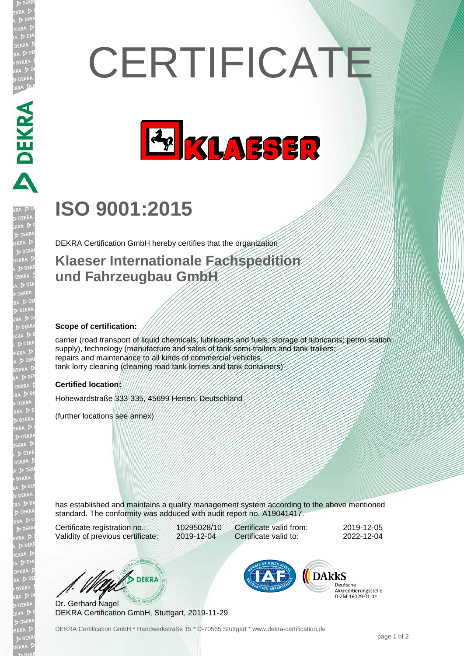# **CERTIFICATE**



## **ISO 9001:2015**

DEKRA Certification GmbH hereby certifies that the organization

### **Klaeser Internationale Fachspedition und Fahrzeugbau GmbH**

#### **Scope of certification:**

**ABLANTICAL** 

carrier (road transport of liquid chemicals, lubricants and fuels; storage of lubricants; petrol station supply), technology (manufacture and sales of tank semi-trailers and tank trailers repairs and maintenance to all kinds of commercial vehicles tank lorry cleaning (cleaning road tank lorries and tank containers)

#### **Certified location:**

Hohewardstraße 333-335, 45699 Herten, Deutschland

(further locations see annex)

has established and maintains a quality management system according to the above mentioned standard. The conformity was adduced with audit report no. A19041417.

Certificate registration no.: 10295028/10 Validity of previous certificate: 2019-12-04

Certificate valid from: 2019-12-05 Certificate valid to: 2022-12-04

W/ DEKRA

Dr. Gerhard Nagel DEKRA Certification GmbH, Stuttgart, 2019-11-29



Deutsche Akkreditierungsstelle D-7M-16029-01-01

DEKRA Certification GmbH \* Handwerkstraße 15 \* D-70565 Stuttgart \* www.dekra-certification.de